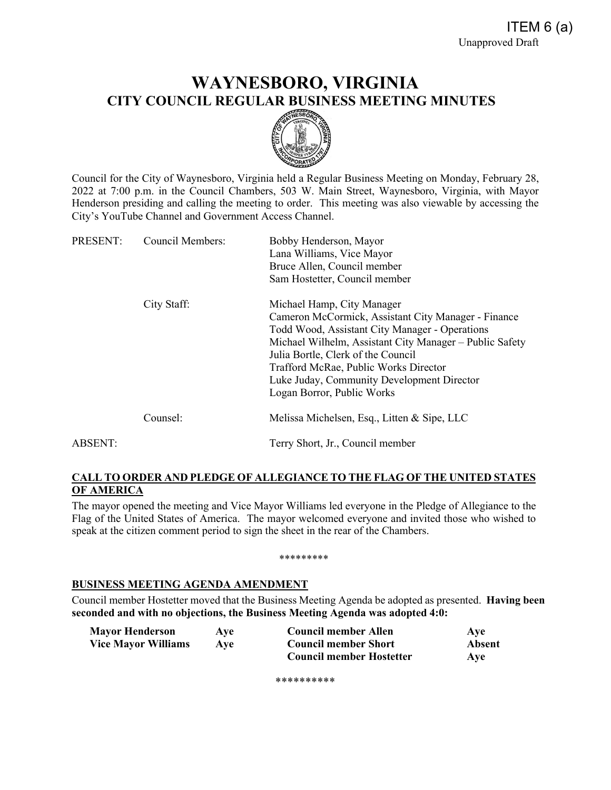# **WAYNESBORO, VIRGINIA CITY COUNCIL REGULAR BUSINESS MEETING MINUTES**



Council for the City of Waynesboro, Virginia held a Regular Business Meeting on Monday, February 28, 2022 at 7:00 p.m. in the Council Chambers, 503 W. Main Street, Waynesboro, Virginia, with Mayor Henderson presiding and calling the meeting to order. This meeting was also viewable by accessing the City's YouTube Channel and Government Access Channel.

| PRESENT: | <b>Council Members:</b> | Bobby Henderson, Mayor<br>Lana Williams, Vice Mayor     |
|----------|-------------------------|---------------------------------------------------------|
|          |                         | Bruce Allen, Council member                             |
|          |                         | Sam Hostetter, Council member                           |
|          | City Staff:             | Michael Hamp, City Manager                              |
|          |                         | Cameron McCormick, Assistant City Manager - Finance     |
|          |                         | Todd Wood, Assistant City Manager - Operations          |
|          |                         | Michael Wilhelm, Assistant City Manager – Public Safety |
|          |                         | Julia Bortle, Clerk of the Council                      |
|          |                         | Trafford McRae, Public Works Director                   |
|          |                         | Luke Juday, Community Development Director              |
|          |                         | Logan Borror, Public Works                              |
|          | Counsel:                | Melissa Michelsen, Esq., Litten & Sipe, LLC             |
| ABSENT:  |                         | Terry Short, Jr., Council member                        |
|          |                         |                                                         |

# **CALL TO ORDER AND PLEDGE OF ALLEGIANCE TO THE FLAG OF THE UNITED STATES OF AMERICA**

The mayor opened the meeting and Vice Mayor Williams led everyone in the Pledge of Allegiance to the Flag of the United States of America. The mayor welcomed everyone and invited those who wished to speak at the citizen comment period to sign the sheet in the rear of the Chambers.

## \*\*\*\*\*\*\*\*\*

# **BUSINESS MEETING AGENDA AMENDMENT**

Council member Hostetter moved that the Business Meeting Agenda be adopted as presented. **Having been seconded and with no objections, the Business Meeting Agenda was adopted 4:0:**

| <b>Mayor Henderson</b>     | Ave | <b>Council member Allen</b>     | Ave    |
|----------------------------|-----|---------------------------------|--------|
| <b>Vice Mayor Williams</b> | Ave | <b>Council member Short</b>     | Absent |
|                            |     | <b>Council member Hostetter</b> | Ave    |

\*\*\*\*\*\*\*\*\*\*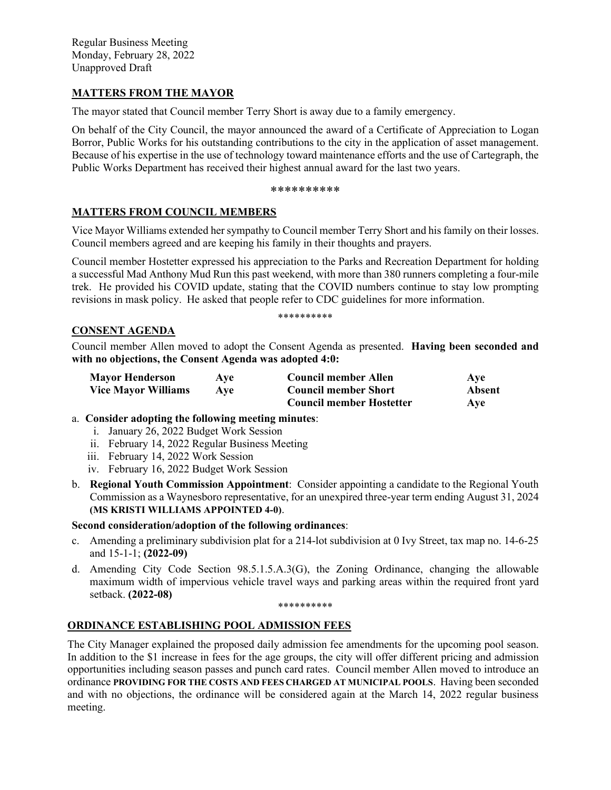# **MATTERS FROM THE MAYOR**

The mayor stated that Council member Terry Short is away due to a family emergency.

On behalf of the City Council, the mayor announced the award of a Certificate of Appreciation to Logan Borror, Public Works for his outstanding contributions to the city in the application of asset management. Because of his expertise in the use of technology toward maintenance efforts and the use of Cartegraph, the Public Works Department has received their highest annual award for the last two years.

## \*\*\*\*\*\*\*\*\*\*

# **MATTERS FROM COUNCIL MEMBERS**

Vice Mayor Williams extended her sympathy to Council member Terry Short and his family on their losses. Council members agreed and are keeping his family in their thoughts and prayers.

Council member Hostetter expressed his appreciation to the Parks and Recreation Department for holding a successful Mad Anthony Mud Run this past weekend, with more than 380 runners completing a four-mile trek. He provided his COVID update, stating that the COVID numbers continue to stay low prompting revisions in mask policy. He asked that people refer to CDC guidelines for more information.

## \*\*\*\*\*\*\*\*\*\*

# **CONSENT AGENDA**

Council member Allen moved to adopt the Consent Agenda as presented. **Having been seconded and with no objections, the Consent Agenda was adopted 4:0:**

| <b>Mayor Henderson</b>     | Ave | <b>Council member Allen</b>     | Ave    |
|----------------------------|-----|---------------------------------|--------|
| <b>Vice Mayor Williams</b> | Ave | <b>Council member Short</b>     | Absent |
|                            |     | <b>Council member Hostetter</b> | Ave    |

# a. **Consider adopting the following meeting minutes**:

- i. January 26, 2022 Budget Work Session
- ii. February 14, 2022 Regular Business Meeting
- iii. February 14, 2022 Work Session
- iv. February 16, 2022 Budget Work Session
- b. **Regional Youth Commission Appointment**: Consider appointing a candidate to the Regional Youth Commission as a Waynesboro representative, for an unexpired three-year term ending August 31, 2024 **(MS KRISTI WILLIAMS APPOINTED 4-0)**.

## **Second consideration/adoption of the following ordinances**:

- c. Amending a preliminary subdivision plat for a 214-lot subdivision at 0 Ivy Street, tax map no. 14-6-25 and 15-1-1; **(2022-09)**
- d. Amending City Code Section 98.5.1.5.A.3(G), the Zoning Ordinance, changing the allowable maximum width of impervious vehicle travel ways and parking areas within the required front yard setback. **(2022-08)**

## \*\*\*\*\*\*\*\*\*\*

# **ORDINANCE ESTABLISHING POOL ADMISSION FEES**

The City Manager explained the proposed daily admission fee amendments for the upcoming pool season. In addition to the \$1 increase in fees for the age groups, the city will offer different pricing and admission opportunities including season passes and punch card rates. Council member Allen moved to introduce an ordinance **PROVIDING FOR THE COSTS AND FEES CHARGED AT MUNICIPAL POOLS**. Having been seconded and with no objections, the ordinance will be considered again at the March 14, 2022 regular business meeting.